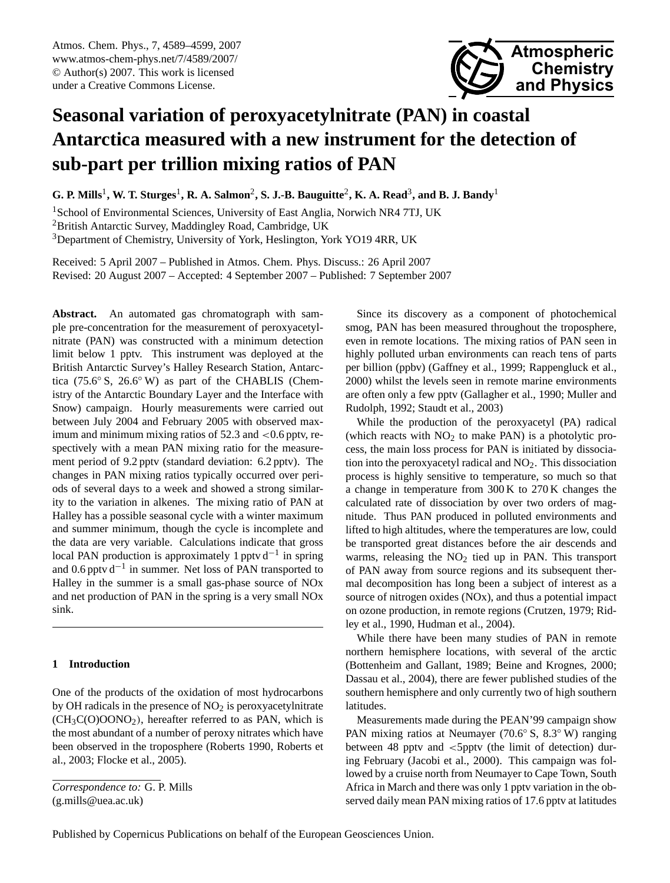<span id="page-0-0"></span>Atmos. Chem. Phys., 7, 4589–4599, 2007 www.atmos-chem-phys.net/7/4589/2007/ © Author(s) 2007. This work is licensed under a Creative Commons License.



# **Seasonal variation of peroxyacetylnitrate (PAN) in coastal Antarctica measured with a new instrument for the detection of sub-part per trillion mixing ratios of PAN**

 $\bf{G.}$  P. Mills<sup>1</sup>, W. T. Sturges<sup>1</sup>, R. A. Salmon<sup>2</sup>, S. J.-B. Bauguitte<sup>2</sup>, K. A. Read<sup>3</sup>, and B. J. Bandy<sup>1</sup>

<sup>1</sup>School of Environmental Sciences, University of East Anglia, Norwich NR4 7TJ, UK <sup>2</sup>British Antarctic Survey, Maddingley Road, Cambridge, UK <sup>3</sup>Department of Chemistry, University of York, Heslington, York YO19 4RR, UK

Received: 5 April 2007 – Published in Atmos. Chem. Phys. Discuss.: 26 April 2007 Revised: 20 August 2007 – Accepted: 4 September 2007 – Published: 7 September 2007

**Abstract.** An automated gas chromatograph with sample pre-concentration for the measurement of peroxyacetylnitrate (PAN) was constructed with a minimum detection limit below 1 pptv. This instrument was deployed at the British Antarctic Survey's Halley Research Station, Antarctica (75.6◦ S, 26.6◦ W) as part of the CHABLIS (Chemistry of the Antarctic Boundary Layer and the Interface with Snow) campaign. Hourly measurements were carried out between July 2004 and February 2005 with observed maximum and minimum mixing ratios of  $52.3$  and  $\lt 0.6$  pptv, respectively with a mean PAN mixing ratio for the measurement period of 9.2 pptv (standard deviation: 6.2 pptv). The changes in PAN mixing ratios typically occurred over periods of several days to a week and showed a strong similarity to the variation in alkenes. The mixing ratio of PAN at Halley has a possible seasonal cycle with a winter maximum and summer minimum, though the cycle is incomplete and the data are very variable. Calculations indicate that gross local PAN production is approximately 1 pptv d<sup>-1</sup> in spring and 0.6 pptv d−<sup>1</sup> in summer. Net loss of PAN transported to Halley in the summer is a small gas-phase source of NOx and net production of PAN in the spring is a very small NOx sink.

# **1 Introduction**

One of the products of the oxidation of most hydrocarbons by OH radicals in the presence of  $NO<sub>2</sub>$  is peroxyacetylnitrate  $(CH<sub>3</sub>C(O)OONO<sub>2</sub>)$ , hereafter referred to as PAN, which is the most abundant of a number of peroxy nitrates which have been observed in the troposphere (Roberts 1990, Roberts et al., 2003; Flocke et al., 2005).

Since its discovery as a component of photochemical smog, PAN has been measured throughout the troposphere, even in remote locations. The mixing ratios of PAN seen in highly polluted urban environments can reach tens of parts per billion (ppbv) (Gaffney et al., 1999; Rappengluck et al., 2000) whilst the levels seen in remote marine environments are often only a few pptv (Gallagher et al., 1990; Muller and Rudolph, 1992; Staudt et al., 2003)

While the production of the peroxyacetyl (PA) radical (which reacts with  $NO<sub>2</sub>$  to make PAN) is a photolytic process, the main loss process for PAN is initiated by dissociation into the peroxyacetyl radical and  $NO<sub>2</sub>$ . This dissociation process is highly sensitive to temperature, so much so that a change in temperature from 300 K to 270 K changes the calculated rate of dissociation by over two orders of magnitude. Thus PAN produced in polluted environments and lifted to high altitudes, where the temperatures are low, could be transported great distances before the air descends and warms, releasing the  $NO<sub>2</sub>$  tied up in PAN. This transport of PAN away from source regions and its subsequent thermal decomposition has long been a subject of interest as a source of nitrogen oxides (NOx), and thus a potential impact on ozone production, in remote regions (Crutzen, 1979; Ridley et al., 1990, Hudman et al., 2004).

While there have been many studies of PAN in remote northern hemisphere locations, with several of the arctic (Bottenheim and Gallant, 1989; Beine and Krognes, 2000; Dassau et al., 2004), there are fewer published studies of the southern hemisphere and only currently two of high southern latitudes.

Measurements made during the PEAN'99 campaign show PAN mixing ratios at Neumayer (70.6◦ S, 8.3◦ W) ranging between 48 pptv and <5pptv (the limit of detection) during February (Jacobi et al., 2000). This campaign was followed by a cruise north from Neumayer to Cape Town, South Africa in March and there was only 1 pptv variation in the observed daily mean PAN mixing ratios of 17.6 pptv at latitudes

*Correspondence to:* G. P. Mills (g.mills@uea.ac.uk)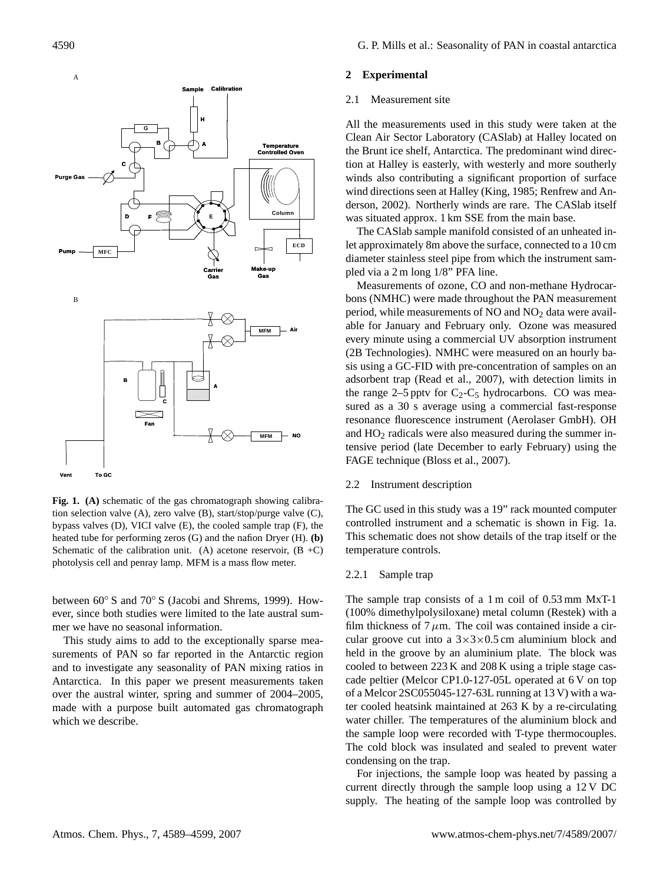

**Fig. 1. (A)** schematic of the gas chromatograph showing calibration selection valve (A), zero valve (B), start/stop/purge valve (C), bypass valves (D), VICI valve (E), the cooled sample trap (F), the heated tube for performing zeros (G) and the nafion Dryer (H). **(b)** Schematic of the calibration unit. (A) acetone reservoir,  $(B + C)$ photolysis cell and penray lamp. MFM is a mass flow meter.

between 60◦ S and 70◦ S (Jacobi and Shrems, 1999). However, since both studies were limited to the late austral summer we have no seasonal information.

This study aims to add to the exceptionally sparse measurements of PAN so far reported in the Antarctic region and to investigate any seasonality of PAN mixing ratios in Antarctica. In this paper we present measurements taken over the austral winter, spring and summer of 2004–2005, made with a purpose built automated gas chromatograph which we describe.

### **2 Experimental**

#### 2.1 Measurement site

All the measurements used in this study were taken at the Clean Air Sector Laboratory (CASlab) at Halley located on the Brunt ice shelf, Antarctica. The predominant wind direction at Halley is easterly, with westerly and more southerly winds also contributing a significant proportion of surface wind directions seen at Halley (King, 1985; Renfrew and Anderson, 2002). Northerly winds are rare. The CASlab itself was situated approx. 1 km SSE from the main base.

The CASlab sample manifold consisted of an unheated inlet approximately 8m above the surface, connected to a 10 cm diameter stainless steel pipe from which the instrument sampled via a 2 m long 1/8" PFA line.

Measurements of ozone, CO and non-methane Hydrocarbons (NMHC) were made throughout the PAN measurement period, while measurements of  $NO$  and  $NO<sub>2</sub>$  data were available for January and February only. Ozone was measured every minute using a commercial UV absorption instrument (2B Technologies). NMHC were measured on an hourly basis using a GC-FID with pre-concentration of samples on an adsorbent trap (Read et al., 2007), with detection limits in the range 2–5 pptv for  $C_2$ - $C_5$  hydrocarbons. CO was measured as a 30 s average using a commercial fast-response resonance fluorescence instrument (Aerolaser GmbH). OH and  $HO<sub>2</sub>$  radicals were also measured during the summer intensive period (late December to early February) using the FAGE technique (Bloss et al., 2007).

#### 2.2 Instrument description

The GC used in this study was a 19" rack mounted computer controlled instrument and a schematic is shown in Fig. 1a. This schematic does not show details of the trap itself or the temperature controls.

#### 2.2.1 Sample trap

The sample trap consists of a 1 m coil of 0.53 mm MxT-1 (100% dimethylpolysiloxane) metal column (Restek) with a film thickness of  $7 \mu$ m. The coil was contained inside a circular groove cut into a  $3 \times 3 \times 0.5$  cm aluminium block and held in the groove by an aluminium plate. The block was cooled to between 223 K and 208 K using a triple stage cascade peltier (Melcor CP1.0-127-05L operated at 6 V on top of a Melcor 2SC055045-127-63L running at 13 V) with a water cooled heatsink maintained at 263 K by a re-circulating water chiller. The temperatures of the aluminium block and the sample loop were recorded with T-type thermocouples. The cold block was insulated and sealed to prevent water condensing on the trap.

For injections, the sample loop was heated by passing a current directly through the sample loop using a 12 V DC supply. The heating of the sample loop was controlled by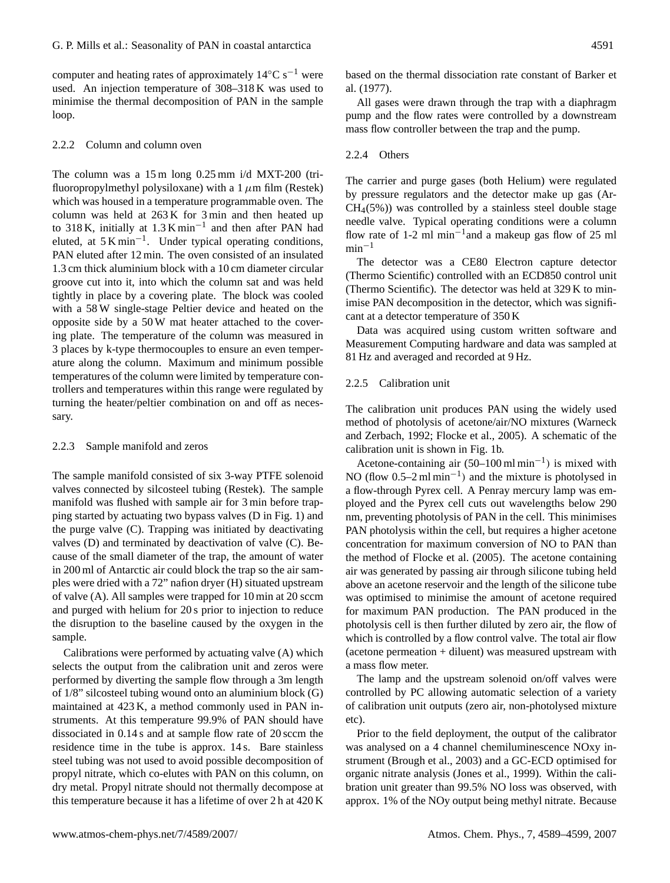computer and heating rates of approximately  $14°C s^{-1}$  were used. An injection temperature of 308–318 K was used to minimise the thermal decomposition of PAN in the sample loop.

# 2.2.2 Column and column oven

The column was a 15 m long 0.25 mm i/d MXT-200 (trifluoropropylmethyl polysiloxane) with a  $1 \mu$ m film (Restek) which was housed in a temperature programmable oven. The column was held at 263 K for 3 min and then heated up to 318 K, initially at  $1.3$  K min<sup>-1</sup> and then after PAN had eluted, at  $5 \text{ K min}^{-1}$ . Under typical operating conditions, PAN eluted after 12 min. The oven consisted of an insulated 1.3 cm thick aluminium block with a 10 cm diameter circular groove cut into it, into which the column sat and was held tightly in place by a covering plate. The block was cooled with a 58 W single-stage Peltier device and heated on the opposite side by a 50 W mat heater attached to the covering plate. The temperature of the column was measured in 3 places by k-type thermocouples to ensure an even temperature along the column. Maximum and minimum possible temperatures of the column were limited by temperature controllers and temperatures within this range were regulated by turning the heater/peltier combination on and off as necessary.

#### 2.2.3 Sample manifold and zeros

The sample manifold consisted of six 3-way PTFE solenoid valves connected by silcosteel tubing (Restek). The sample manifold was flushed with sample air for 3 min before trapping started by actuating two bypass valves (D in Fig. 1) and the purge valve (C). Trapping was initiated by deactivating valves (D) and terminated by deactivation of valve (C). Because of the small diameter of the trap, the amount of water in 200 ml of Antarctic air could block the trap so the air samples were dried with a 72" nafion dryer (H) situated upstream of valve (A). All samples were trapped for 10 min at 20 sccm and purged with helium for 20 s prior to injection to reduce the disruption to the baseline caused by the oxygen in the sample.

Calibrations were performed by actuating valve (A) which selects the output from the calibration unit and zeros were performed by diverting the sample flow through a 3m length of 1/8" silcosteel tubing wound onto an aluminium block (G) maintained at 423 K, a method commonly used in PAN instruments. At this temperature 99.9% of PAN should have dissociated in 0.14 s and at sample flow rate of 20 sccm the residence time in the tube is approx. 14 s. Bare stainless steel tubing was not used to avoid possible decomposition of propyl nitrate, which co-elutes with PAN on this column, on dry metal. Propyl nitrate should not thermally decompose at this temperature because it has a lifetime of over 2 h at 420 K based on the thermal dissociation rate constant of Barker et al. (1977).

All gases were drawn through the trap with a diaphragm pump and the flow rates were controlled by a downstream mass flow controller between the trap and the pump.

# 2.2.4 Others

The carrier and purge gases (both Helium) were regulated by pressure regulators and the detector make up gas (Ar- $CH<sub>4</sub>(5%)$  was controlled by a stainless steel double stage needle valve. Typical operating conditions were a column flow rate of 1-2 ml min−<sup>1</sup> and a makeup gas flow of 25 ml  $min<sup>-1</sup>$ 

The detector was a CE80 Electron capture detector (Thermo Scientific) controlled with an ECD850 control unit (Thermo Scientific). The detector was held at 329 K to minimise PAN decomposition in the detector, which was significant at a detector temperature of 350 K

Data was acquired using custom written software and Measurement Computing hardware and data was sampled at 81 Hz and averaged and recorded at 9 Hz.

## 2.2.5 Calibration unit

The calibration unit produces PAN using the widely used method of photolysis of acetone/air/NO mixtures (Warneck and Zerbach, 1992; Flocke et al., 2005). A schematic of the calibration unit is shown in Fig. 1b.

Acetone-containing air  $(50-100 \text{ ml min}^{-1})$  is mixed with NO (flow  $0.5-2$  ml min<sup>-1</sup>) and the mixture is photolysed in a flow-through Pyrex cell. A Penray mercury lamp was employed and the Pyrex cell cuts out wavelengths below 290 nm, preventing photolysis of PAN in the cell. This minimises PAN photolysis within the cell, but requires a higher acetone concentration for maximum conversion of NO to PAN than the method of Flocke et al. (2005). The acetone containing air was generated by passing air through silicone tubing held above an acetone reservoir and the length of the silicone tube was optimised to minimise the amount of acetone required for maximum PAN production. The PAN produced in the photolysis cell is then further diluted by zero air, the flow of which is controlled by a flow control valve. The total air flow (acetone permeation + diluent) was measured upstream with a mass flow meter.

The lamp and the upstream solenoid on/off valves were controlled by PC allowing automatic selection of a variety of calibration unit outputs (zero air, non-photolysed mixture etc).

Prior to the field deployment, the output of the calibrator was analysed on a 4 channel chemiluminescence NOxy instrument (Brough et al., 2003) and a GC-ECD optimised for organic nitrate analysis (Jones et al., 1999). Within the calibration unit greater than 99.5% NO loss was observed, with approx. 1% of the NOy output being methyl nitrate. Because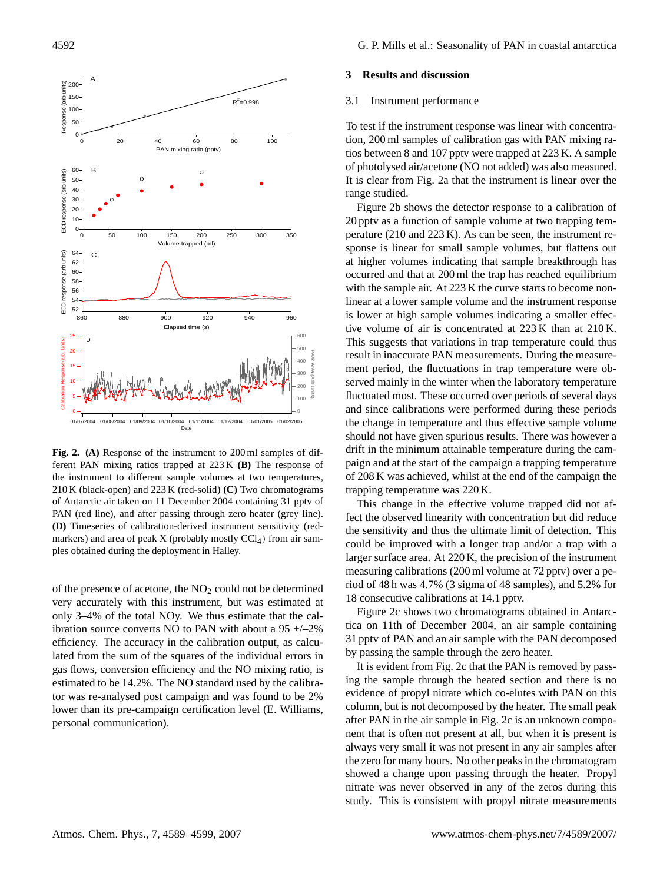

**Fig. 2. (A)** Response of the instrument to 200 ml samples of different PAN mixing ratios trapped at 223 K **(B)** The response of the instrument to different sample volumes at two temperatures, 210 K (black-open) and 223 K (red-solid) **(C)** Two chromatograms of Antarctic air taken on 11 December 2004 containing 31 pptv of PAN (red line), and after passing through zero heater (grey line). **(D)** Timeseries of calibration-derived instrument sensitivity (redmarkers) and area of peak  $X$  (probably mostly  $CCl<sub>4</sub>$ ) from air samples obtained during the deployment in Halley.

of the presence of acetone, the  $NO<sub>2</sub>$  could not be determined very accurately with this instrument, but was estimated at only 3–4% of the total NOy. We thus estimate that the calibration source converts NO to PAN with about a  $95 + -2\%$ efficiency. The accuracy in the calibration output, as calculated from the sum of the squares of the individual errors in gas flows, conversion efficiency and the NO mixing ratio, is estimated to be 14.2%. The NO standard used by the calibrator was re-analysed post campaign and was found to be 2% lower than its pre-campaign certification level (E. Williams, personal communication).

#### **3 Results and discussion**

# 3.1 Instrument performance

To test if the instrument response was linear with concentration, 200 ml samples of calibration gas with PAN mixing ratios between 8 and 107 pptv were trapped at 223 K. A sample of photolysed air/acetone (NO not added) was also measured. It is clear from Fig. 2a that the instrument is linear over the range studied.

Figure 2b shows the detector response to a calibration of 20 pptv as a function of sample volume at two trapping temperature (210 and 223 K). As can be seen, the instrument response is linear for small sample volumes, but flattens out at higher volumes indicating that sample breakthrough has occurred and that at 200 ml the trap has reached equilibrium with the sample air. At 223 K the curve starts to become nonlinear at a lower sample volume and the instrument response is lower at high sample volumes indicating a smaller effective volume of air is concentrated at 223 K than at 210 K. This suggests that variations in trap temperature could thus result in inaccurate PAN measurements. During the measurement period, the fluctuations in trap temperature were observed mainly in the winter when the laboratory temperature fluctuated most. These occurred over periods of several days and since calibrations were performed during these periods the change in temperature and thus effective sample volume should not have given spurious results. There was however a drift in the minimum attainable temperature during the campaign and at the start of the campaign a trapping temperature of 208 K was achieved, whilst at the end of the campaign the trapping temperature was 220 K.

This change in the effective volume trapped did not affect the observed linearity with concentration but did reduce the sensitivity and thus the ultimate limit of detection. This could be improved with a longer trap and/or a trap with a larger surface area. At 220 K, the precision of the instrument measuring calibrations (200 ml volume at 72 pptv) over a period of 48 h was 4.7% (3 sigma of 48 samples), and 5.2% for 18 consecutive calibrations at 14.1 pptv.

Figure 2c shows two chromatograms obtained in Antarctica on 11th of December 2004, an air sample containing 31 pptv of PAN and an air sample with the PAN decomposed by passing the sample through the zero heater.

It is evident from Fig. 2c that the PAN is removed by passing the sample through the heated section and there is no evidence of propyl nitrate which co-elutes with PAN on this column, but is not decomposed by the heater. The small peak after PAN in the air sample in Fig. 2c is an unknown component that is often not present at all, but when it is present is always very small it was not present in any air samples after the zero for many hours. No other peaks in the chromatogram showed a change upon passing through the heater. Propyl nitrate was never observed in any of the zeros during this study. This is consistent with propyl nitrate measurements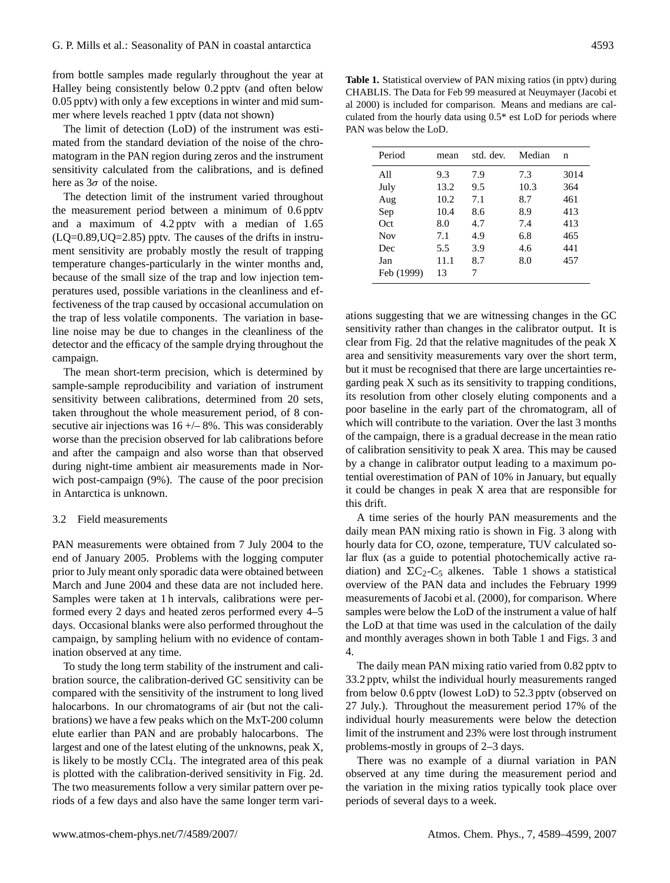from bottle samples made regularly throughout the year at Halley being consistently below 0.2 pptv (and often below 0.05 pptv) with only a few exceptions in winter and mid summer where levels reached 1 pptv (data not shown)

The limit of detection (LoD) of the instrument was estimated from the standard deviation of the noise of the chromatogram in the PAN region during zeros and the instrument sensitivity calculated from the calibrations, and is defined here as  $3\sigma$  of the noise.

The detection limit of the instrument varied throughout the measurement period between a minimum of 0.6 pptv and a maximum of 4.2 pptv with a median of 1.65  $(LQ=0.89, UQ=2.85)$  pptv. The causes of the drifts in instrument sensitivity are probably mostly the result of trapping temperature changes-particularly in the winter months and, because of the small size of the trap and low injection temperatures used, possible variations in the cleanliness and effectiveness of the trap caused by occasional accumulation on the trap of less volatile components. The variation in baseline noise may be due to changes in the cleanliness of the detector and the efficacy of the sample drying throughout the campaign.

The mean short-term precision, which is determined by sample-sample reproducibility and variation of instrument sensitivity between calibrations, determined from 20 sets, taken throughout the whole measurement period, of 8 consecutive air injections was  $16 + (-8)$ %. This was considerably worse than the precision observed for lab calibrations before and after the campaign and also worse than that observed during night-time ambient air measurements made in Norwich post-campaign (9%). The cause of the poor precision in Antarctica is unknown.

## 3.2 Field measurements

PAN measurements were obtained from 7 July 2004 to the end of January 2005. Problems with the logging computer prior to July meant only sporadic data were obtained between March and June 2004 and these data are not included here. Samples were taken at 1 h intervals, calibrations were performed every 2 days and heated zeros performed every 4–5 days. Occasional blanks were also performed throughout the campaign, by sampling helium with no evidence of contamination observed at any time.

To study the long term stability of the instrument and calibration source, the calibration-derived GC sensitivity can be compared with the sensitivity of the instrument to long lived halocarbons. In our chromatograms of air (but not the calibrations) we have a few peaks which on the MxT-200 column elute earlier than PAN and are probably halocarbons. The largest and one of the latest eluting of the unknowns, peak X, is likely to be mostly CCl4. The integrated area of this peak is plotted with the calibration-derived sensitivity in Fig. 2d. The two measurements follow a very similar pattern over periods of a few days and also have the same longer term vari-

**Table 1.** Statistical overview of PAN mixing ratios (in pptv) during CHABLIS. The Data for Feb 99 measured at Neuymayer (Jacobi et al 2000) is included for comparison. Means and medians are calculated from the hourly data using 0.5\* est LoD for periods where PAN was below the LoD.

| Period     | mean | std. dev. | Median | n    |
|------------|------|-----------|--------|------|
| All        | 9.3  | 7.9       | 7.3    | 3014 |
| July       | 13.2 | 9.5       | 10.3   | 364  |
| Aug        | 10.2 | 7.1       | 8.7    | 461  |
| Sep        | 10.4 | 8.6       | 8.9    | 413  |
| Oct        | 8.0  | 4.7       | 7.4    | 413  |
| <b>Nov</b> | 7.1  | 4.9       | 6.8    | 465  |
| Dec        | 5.5  | 3.9       | 4.6    | 441  |
| Jan        | 11.1 | 8.7       | 8.0    | 457  |
| Feb (1999) | 13   | 7         |        |      |

ations suggesting that we are witnessing changes in the GC sensitivity rather than changes in the calibrator output. It is clear from Fig. 2d that the relative magnitudes of the peak X area and sensitivity measurements vary over the short term, but it must be recognised that there are large uncertainties regarding peak X such as its sensitivity to trapping conditions, its resolution from other closely eluting components and a poor baseline in the early part of the chromatogram, all of which will contribute to the variation. Over the last 3 months of the campaign, there is a gradual decrease in the mean ratio of calibration sensitivity to peak X area. This may be caused by a change in calibrator output leading to a maximum potential overestimation of PAN of 10% in January, but equally it could be changes in peak X area that are responsible for this drift.

A time series of the hourly PAN measurements and the daily mean PAN mixing ratio is shown in Fig. 3 along with hourly data for CO, ozone, temperature, TUV calculated solar flux (as a guide to potential photochemically active radiation) and  $\Sigma C_2-C_5$  alkenes. Table 1 shows a statistical overview of the PAN data and includes the February 1999 measurements of Jacobi et al. (2000), for comparison. Where samples were below the LoD of the instrument a value of half the LoD at that time was used in the calculation of the daily and monthly averages shown in both Table 1 and Figs. 3 and 4.

The daily mean PAN mixing ratio varied from 0.82 pptv to 33.2 pptv, whilst the individual hourly measurements ranged from below 0.6 pptv (lowest LoD) to 52.3 pptv (observed on 27 July.). Throughout the measurement period 17% of the individual hourly measurements were below the detection limit of the instrument and 23% were lost through instrument problems-mostly in groups of 2–3 days.

There was no example of a diurnal variation in PAN observed at any time during the measurement period and the variation in the mixing ratios typically took place over periods of several days to a week.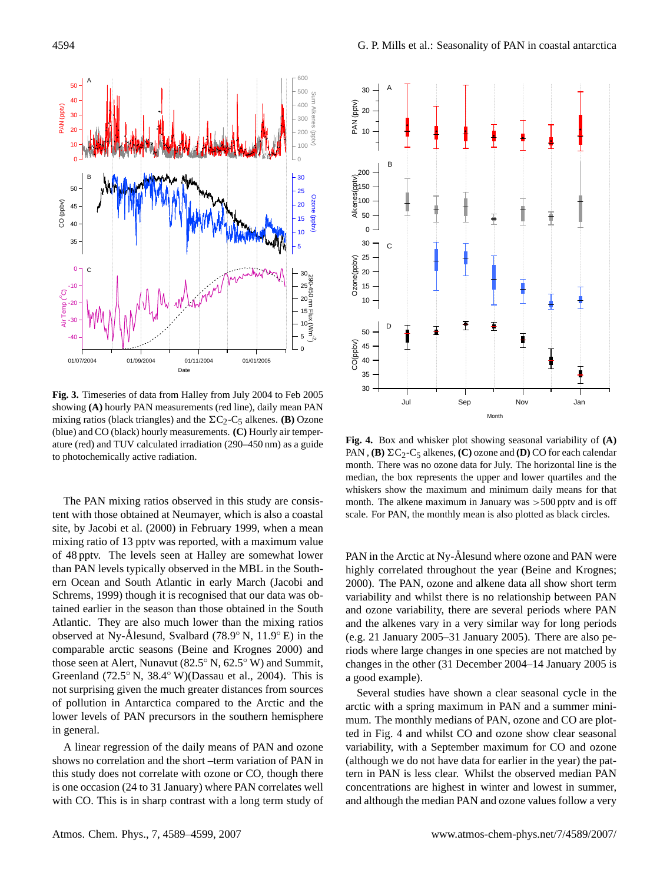

**Fig. 3.** Timeseries of data from Halley from July 2004 to Feb 2005 showing **(A)** hourly PAN measurements (red line), daily mean PAN mixing ratios (black triangles) and the  $\Sigma C_2-C_5$  alkenes. **(B)** Ozone (blue) and CO (black) hourly measurements. **(C)** Hourly air temperature (red) and TUV calculated irradiation (290–450 nm) as a guide to photochemically active radiation.

The PAN mixing ratios observed in this study are consistent with those obtained at Neumayer, which is also a coastal site, by Jacobi et al. (2000) in February 1999, when a mean mixing ratio of 13 pptv was reported, with a maximum value of 48 pptv. The levels seen at Halley are somewhat lower than PAN levels typically observed in the MBL in the Southern Ocean and South Atlantic in early March (Jacobi and Schrems, 1999) though it is recognised that our data was obtained earlier in the season than those obtained in the South Atlantic. They are also much lower than the mixing ratios observed at Ny-Ålesund, Svalbard (78.9° N, 11.9° E) in the comparable arctic seasons (Beine and Krognes 2000) and those seen at Alert, Nunavut (82.5◦ N, 62.5◦ W) and Summit, Greenland (72.5 $\degree$  N, 38.4 $\degree$  W)(Dassau et al., 2004). This is not surprising given the much greater distances from sources of pollution in Antarctica compared to the Arctic and the lower levels of PAN precursors in the southern hemisphere in general.

A linear regression of the daily means of PAN and ozone shows no correlation and the short –term variation of PAN in this study does not correlate with ozone or CO, though there is one occasion (24 to 31 January) where PAN correlates well with CO. This is in sharp contrast with a long term study of



**Fig. 4.** Box and whisker plot showing seasonal variability of **(A)** PAN, **(B)**  $\Sigma C_2$ -C<sub>5</sub> alkenes, **(C)** ozone and **(D)** CO for each calendar month. There was no ozone data for July. The horizontal line is the median, the box represents the upper and lower quartiles and the whiskers show the maximum and minimum daily means for that month. The alkene maximum in January was  $>500$  pptv and is off scale. For PAN, the monthly mean is also plotted as black circles.

PAN in the Arctic at Ny-Ålesund where ozone and PAN were highly correlated throughout the year (Beine and Krognes; 2000). The PAN, ozone and alkene data all show short term variability and whilst there is no relationship between PAN and ozone variability, there are several periods where PAN and the alkenes vary in a very similar way for long periods (e.g. 21 January 2005–31 January 2005). There are also periods where large changes in one species are not matched by changes in the other (31 December 2004–14 January 2005 is a good example).

Several studies have shown a clear seasonal cycle in the arctic with a spring maximum in PAN and a summer minimum. The monthly medians of PAN, ozone and CO are plotted in Fig. 4 and whilst CO and ozone show clear seasonal variability, with a September maximum for CO and ozone (although we do not have data for earlier in the year) the pattern in PAN is less clear. Whilst the observed median PAN concentrations are highest in winter and lowest in summer, and although the median PAN and ozone values follow a very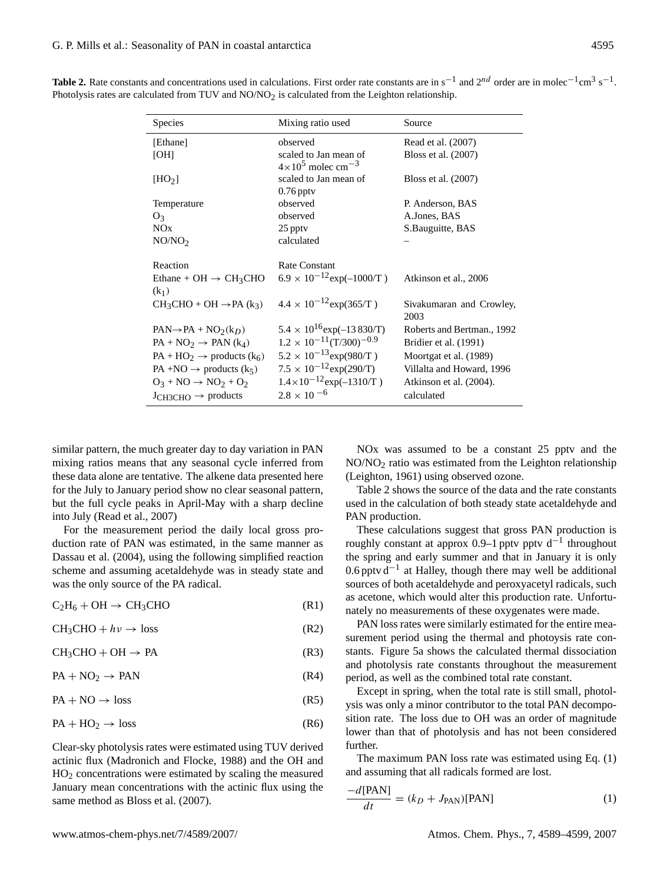**Table 2.** Rate constants and concentrations used in calculations. First order rate constants are in s<sup>-1</sup> and 2<sup>nd</sup> order are in molec<sup>-1</sup>cm<sup>3</sup> s<sup>-1</sup>. Photolysis rates are calculated from TUV and NO/NO<sub>2</sub> is calculated from the Leighton relationship.

| <b>Species</b>                                           | Mixing ratio used                                               | Source                           |
|----------------------------------------------------------|-----------------------------------------------------------------|----------------------------------|
| [Ethane]                                                 | observed                                                        | Read et al. (2007)               |
| [OH]                                                     | scaled to Jan mean of<br>$4 \times 10^5$ molec cm <sup>-3</sup> | Bloss et al. (2007)              |
| $[\text{HO}_2]$                                          | scaled to Jan mean of<br>$0.76$ pptv                            | Bloss et al. (2007)              |
| Temperature                                              | observed                                                        | P. Anderson, BAS                 |
| $O_3$                                                    | observed                                                        | A.Jones, BAS                     |
| NOx                                                      | 25 ppty                                                         | S.Bauguitte, BAS                 |
| NO/NO <sub>2</sub>                                       | calculated                                                      |                                  |
| Reaction                                                 | Rate Constant                                                   |                                  |
| Ethane + OH $\rightarrow$ CH <sub>3</sub> CHO<br>$(k_1)$ | $6.9 \times 10^{-12}$ exp(-1000/T)                              | Atkinson et al., 2006            |
| $CH_3CHO + OH \rightarrow PA (k_3)$                      | $4.4 \times 10^{-12}$ exp(365/T)                                | Sivakumaran and Crowley,<br>2003 |
| $PAN \rightarrow PA + NO_2(k_D)$                         | $5.4 \times 10^{16}$ exp(-13 830/T)                             | Roberts and Bertman., 1992       |
| $PA + NO2 \rightarrow PAN (k4)$                          | $1.2 \times 10^{-11}$ (T/300) <sup>-0.9</sup>                   | Bridier et al. (1991)            |
| $PA + HO_2 \rightarrow products (k_6)$                   | $5.2 \times 10^{-13}$ exp(980/T)                                | Moortgat et al. (1989)           |
| PA +NO $\rightarrow$ products (k <sub>5</sub> )          | $7.5 \times 10^{-12}$ exp(290/T)                                | Villalta and Howard, 1996        |
| $O_3 + NO \rightarrow NO_2 + O_2$                        | $1.4 \times 10^{-12}$ exp(-1310/T)                              | Atkinson et al. (2004).          |
| $J_{CH3CHO} \rightarrow$ products                        | $2.8 \times 10^{-6}$                                            | calculated                       |

similar pattern, the much greater day to day variation in PAN mixing ratios means that any seasonal cycle inferred from these data alone are tentative. The alkene data presented here for the July to January period show no clear seasonal pattern, but the full cycle peaks in April-May with a sharp decline into July (Read et al., 2007)

For the measurement period the daily local gross production rate of PAN was estimated, in the same manner as Dassau et al. (2004), using the following simplified reaction scheme and assuming acetaldehyde was in steady state and was the only source of the PA radical.

 $C_2H_6 + OH \rightarrow CH_3CHO$  (R1)

$$
CH3CHO + hv \rightarrow loss
$$
 (R2)

 $CH<sub>3</sub>CHO + OH \rightarrow PA$  (R3)

 $PA + NO_2 \rightarrow PAN$  (R4)

 $PA + NO \rightarrow loss$  (R5)

$$
PA + HO_2 \to loss
$$
 (R6)

Clear-sky photolysis rates were estimated using TUV derived actinic flux (Madronich and Flocke, 1988) and the OH and  $HO<sub>2</sub>$  concentrations were estimated by scaling the measured January mean concentrations with the actinic flux using the same method as Bloss et al. (2007).

NOx was assumed to be a constant 25 pptv and the NO/NO<sup>2</sup> ratio was estimated from the Leighton relationship (Leighton, 1961) using observed ozone.

Table 2 shows the source of the data and the rate constants used in the calculation of both steady state acetaldehyde and PAN production.

These calculations suggest that gross PAN production is roughly constant at approx 0.9–1 pptv pptv  $d^{-1}$  throughout the spring and early summer and that in January it is only 0.6 pptv d−<sup>1</sup> at Halley, though there may well be additional sources of both acetaldehyde and peroxyacetyl radicals, such as acetone, which would alter this production rate. Unfortunately no measurements of these oxygenates were made.

PAN loss rates were similarly estimated for the entire measurement period using the thermal and photoysis rate constants. Figure 5a shows the calculated thermal dissociation and photolysis rate constants throughout the measurement period, as well as the combined total rate constant.

Except in spring, when the total rate is still small, photolysis was only a minor contributor to the total PAN decomposition rate. The loss due to OH was an order of magnitude lower than that of photolysis and has not been considered further.

The maximum PAN loss rate was estimated using Eq. (1) and assuming that all radicals formed are lost.

$$
\frac{-d[\text{PAN}]}{dt} = (k_D + J_{\text{PAN}})[\text{PAN}]
$$
 (1)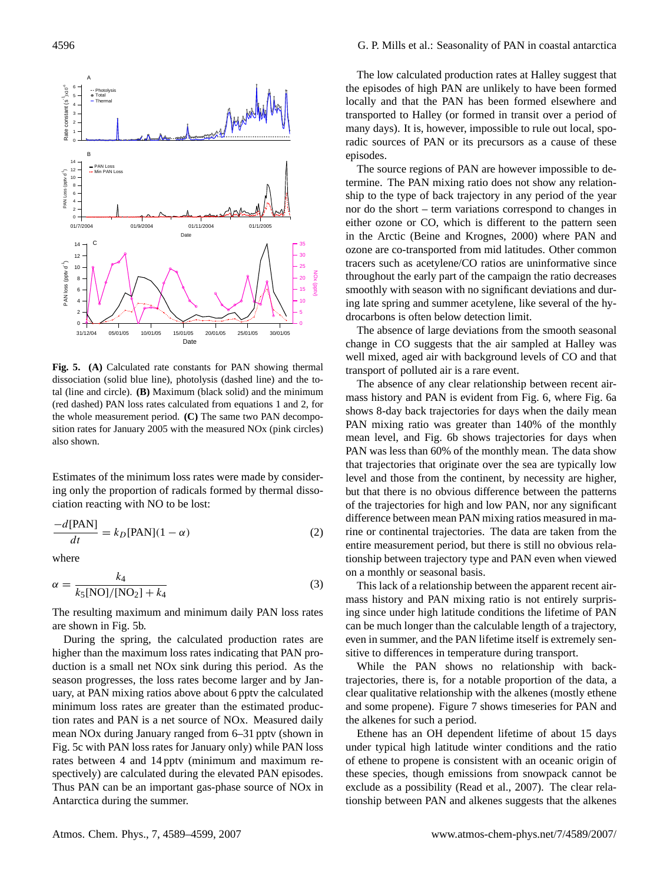

**Fig. 5. (A)** Calculated rate constants for PAN showing thermal dissociation (solid blue line), photolysis (dashed line) and the total (line and circle). **(B)** Maximum (black solid) and the minimum (red dashed) PAN loss rates calculated from equations 1 and 2, for the whole measurement period. **(C)** The same two PAN decomposition rates for January 2005 with the measured NOx (pink circles) also shown.

Estimates of the minimum loss rates were made by considering only the proportion of radicals formed by thermal dissociation reacting with NO to be lost:

$$
\frac{-d[PAN]}{dt} = k_D[PAN](1 - \alpha)
$$
 (2)

where

$$
\alpha = \frac{k_4}{k_5[NO]/[NO_2] + k_4}
$$
 (3)

The resulting maximum and minimum daily PAN loss rates are shown in Fig. 5b.

During the spring, the calculated production rates are higher than the maximum loss rates indicating that PAN production is a small net NOx sink during this period. As the season progresses, the loss rates become larger and by January, at PAN mixing ratios above about 6 pptv the calculated minimum loss rates are greater than the estimated production rates and PAN is a net source of NOx. Measured daily mean NOx during January ranged from 6–31 pptv (shown in Fig. 5c with PAN loss rates for January only) while PAN loss rates between 4 and 14 pptv (minimum and maximum respectively) are calculated during the elevated PAN episodes. Thus PAN can be an important gas-phase source of NOx in Antarctica during the summer.

The low calculated production rates at Halley suggest that the episodes of high PAN are unlikely to have been formed locally and that the PAN has been formed elsewhere and transported to Halley (or formed in transit over a period of many days). It is, however, impossible to rule out local, sporadic sources of PAN or its precursors as a cause of these episodes.

The source regions of PAN are however impossible to determine. The PAN mixing ratio does not show any relationship to the type of back trajectory in any period of the year nor do the short – term variations correspond to changes in either ozone or CO, which is different to the pattern seen in the Arctic (Beine and Krognes, 2000) where PAN and ozone are co-transported from mid latitudes. Other common tracers such as acetylene/CO ratios are uninformative since throughout the early part of the campaign the ratio decreases smoothly with season with no significant deviations and during late spring and summer acetylene, like several of the hydrocarbons is often below detection limit.

The absence of large deviations from the smooth seasonal change in CO suggests that the air sampled at Halley was well mixed, aged air with background levels of CO and that transport of polluted air is a rare event.

The absence of any clear relationship between recent airmass history and PAN is evident from Fig. 6, where Fig. 6a shows 8-day back trajectories for days when the daily mean PAN mixing ratio was greater than 140% of the monthly mean level, and Fig. 6b shows trajectories for days when PAN was less than 60% of the monthly mean. The data show that trajectories that originate over the sea are typically low level and those from the continent, by necessity are higher, but that there is no obvious difference between the patterns of the trajectories for high and low PAN, nor any significant difference between mean PAN mixing ratios measured in marine or continental trajectories. The data are taken from the entire measurement period, but there is still no obvious relationship between trajectory type and PAN even when viewed on a monthly or seasonal basis.

This lack of a relationship between the apparent recent airmass history and PAN mixing ratio is not entirely surprising since under high latitude conditions the lifetime of PAN can be much longer than the calculable length of a trajectory, even in summer, and the PAN lifetime itself is extremely sensitive to differences in temperature during transport.

While the PAN shows no relationship with backtrajectories, there is, for a notable proportion of the data, a clear qualitative relationship with the alkenes (mostly ethene and some propene). Figure 7 shows timeseries for PAN and the alkenes for such a period.

Ethene has an OH dependent lifetime of about 15 days under typical high latitude winter conditions and the ratio of ethene to propene is consistent with an oceanic origin of these species, though emissions from snowpack cannot be exclude as a possibility (Read et al., 2007). The clear relationship between PAN and alkenes suggests that the alkenes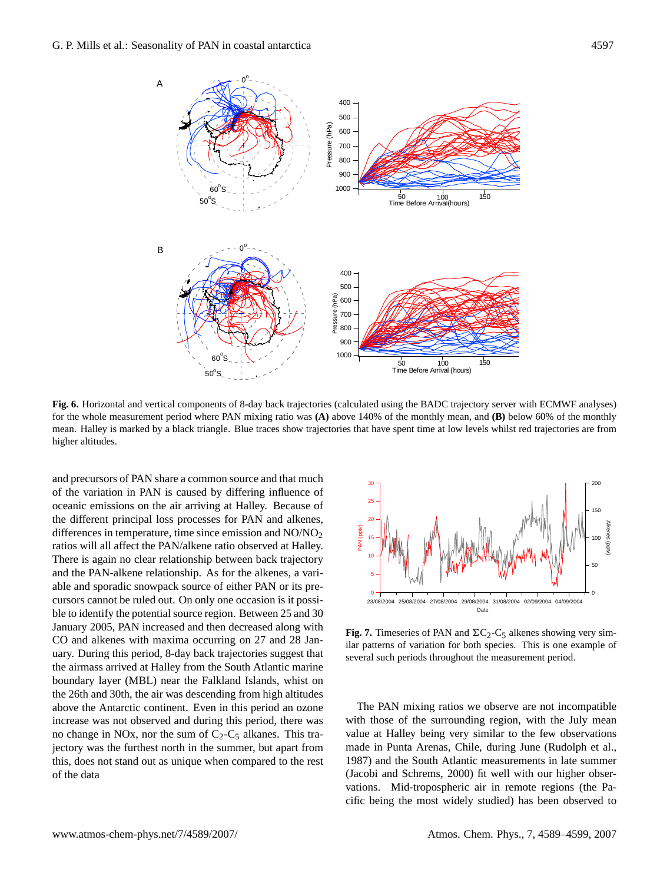

**Fig. 6.** Horizontal and vertical components of 8-day back trajectories (calculated using the BADC trajectory server with ECMWF analyses) for the whole measurement period where PAN mixing ratio was **(A)** above 140% of the monthly mean, and **(B)** below 60% of the monthly mean. Halley is marked by a black triangle. Blue traces show trajectories that have spent time at low levels whilst red trajectories are from higher altitudes.

and precursors of PAN share a common source and that much of the variation in PAN is caused by differing influence of oceanic emissions on the air arriving at Halley. Because of the different principal loss processes for PAN and alkenes, differences in temperature, time since emission and  $NO/NO<sub>2</sub>$ ratios will all affect the PAN/alkene ratio observed at Halley. There is again no clear relationship between back trajectory and the PAN-alkene relationship. As for the alkenes, a variable and sporadic snowpack source of either PAN or its precursors cannot be ruled out. On only one occasion is it possible to identify the potential source region. Between 25 and 30 January 2005, PAN increased and then decreased along with CO and alkenes with maxima occurring on 27 and 28 January. During this period, 8-day back trajectories suggest that the airmass arrived at Halley from the South Atlantic marine boundary layer (MBL) near the Falkland Islands, whist on the 26th and 30th, the air was descending from high altitudes above the Antarctic continent. Even in this period an ozone increase was not observed and during this period, there was no change in NOx, nor the sum of  $C_2$ - $C_5$  alkanes. This trajectory was the furthest north in the summer, but apart from this, does not stand out as unique when compared to the rest of the data



**Fig. 7.** Timeseries of PAN and  $\Sigma C_2-C_5$  alkenes showing very similar patterns of variation for both species. This is one example of several such periods throughout the measurement period.

The PAN mixing ratios we observe are not incompatible with those of the surrounding region, with the July mean value at Halley being very similar to the few observations made in Punta Arenas, Chile, during June (Rudolph et al., 1987) and the South Atlantic measurements in late summer (Jacobi and Schrems, 2000) fit well with our higher observations. Mid-tropospheric air in remote regions (the Pacific being the most widely studied) has been observed to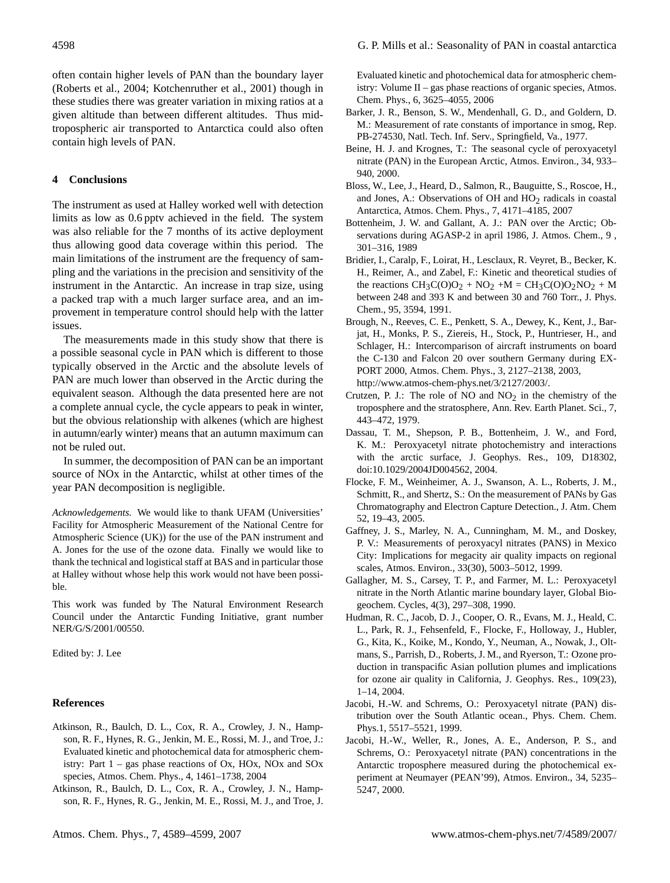often contain higher levels of PAN than the boundary layer (Roberts et al., 2004; Kotchenruther et al., 2001) though in these studies there was greater variation in mixing ratios at a given altitude than between different altitudes. Thus midtropospheric air transported to Antarctica could also often contain high levels of PAN.

# **4 Conclusions**

The instrument as used at Halley worked well with detection limits as low as 0.6 pptv achieved in the field. The system was also reliable for the 7 months of its active deployment thus allowing good data coverage within this period. The main limitations of the instrument are the frequency of sampling and the variations in the precision and sensitivity of the instrument in the Antarctic. An increase in trap size, using a packed trap with a much larger surface area, and an improvement in temperature control should help with the latter issues.

The measurements made in this study show that there is a possible seasonal cycle in PAN which is different to those typically observed in the Arctic and the absolute levels of PAN are much lower than observed in the Arctic during the equivalent season. Although the data presented here are not a complete annual cycle, the cycle appears to peak in winter, but the obvious relationship with alkenes (which are highest in autumn/early winter) means that an autumn maximum can not be ruled out.

In summer, the decomposition of PAN can be an important source of NOx in the Antarctic, whilst at other times of the year PAN decomposition is negligible.

*Acknowledgements.* We would like to thank UFAM (Universities' Facility for Atmospheric Measurement of the National Centre for Atmospheric Science (UK)) for the use of the PAN instrument and A. Jones for the use of the ozone data. Finally we would like to thank the technical and logistical staff at BAS and in particular those at Halley without whose help this work would not have been possible.

This work was funded by The Natural Environment Research Council under the Antarctic Funding Initiative, grant number NER/G/S/2001/00550.

Edited by: J. Lee

# **References**

- Atkinson, R., Baulch, D. L., Cox, R. A., Crowley, J. N., Hampson, R. F., Hynes, R. G., Jenkin, M. E., Rossi, M. J., and Troe, J.: Evaluated kinetic and photochemical data for atmospheric chemistry: Part 1 – gas phase reactions of Ox, HOx, NOx and SOx species, Atmos. Chem. Phys., 4, 1461–1738, 2004
- Atkinson, R., Baulch, D. L., Cox, R. A., Crowley, J. N., Hampson, R. F., Hynes, R. G., Jenkin, M. E., Rossi, M. J., and Troe, J.

Evaluated kinetic and photochemical data for atmospheric chemistry: Volume II – gas phase reactions of organic species, Atmos. Chem. Phys., 6, 3625–4055, 2006

- Barker, J. R., Benson, S. W., Mendenhall, G. D., and Goldern, D. M.: Measurement of rate constants of importance in smog, Rep. PB-274530, Natl. Tech. Inf. Serv., Springfield, Va., 1977.
- Beine, H. J. and Krognes, T.: The seasonal cycle of peroxyacetyl nitrate (PAN) in the European Arctic, Atmos. Environ., 34, 933– 940, 2000.
- Bloss, W., Lee, J., Heard, D., Salmon, R., Bauguitte, S., Roscoe, H., and Jones, A.: Observations of OH and  $HO<sub>2</sub>$  radicals in coastal Antarctica, Atmos. Chem. Phys., 7, 4171–4185, 2007
- Bottenheim, J. W. and Gallant, A. J.: PAN over the Arctic; Observations during AGASP-2 in april 1986, J. Atmos. Chem., 9 , 301–316, 1989
- Bridier, I., Caralp, F., Loirat, H., Lesclaux, R. Veyret, B., Becker, K. H., Reimer, A., and Zabel, F.: Kinetic and theoretical studies of the reactions  $CH_3C(0)O_2 + NO_2 + M = CH_3C(0)O_2NO_2 + M$ between 248 and 393 K and between 30 and 760 Torr., J. Phys. Chem., 95, 3594, 1991.
- Brough, N., Reeves, C. E., Penkett, S. A., Dewey, K., Kent, J., Barjat, H., Monks, P. S., Ziereis, H., Stock, P., Huntrieser, H., and Schlager, H.: Intercomparison of aircraft instruments on board the C-130 and Falcon 20 over southern Germany during EX-PORT 2000, Atmos. Chem. Phys., 3, 2127–2138, 2003, [http://www.atmos-chem-phys.net/3/2127/2003/.](http://www.atmos-chem-phys.net/3/2127/2003/)
- Crutzen, P. J.: The role of NO and  $NO<sub>2</sub>$  in the chemistry of the troposphere and the stratosphere, Ann. Rev. Earth Planet. Sci., 7, 443–472, 1979.
- Dassau, T. M., Shepson, P. B., Bottenheim, J. W., and Ford, K. M.: Peroxyacetyl nitrate photochemistry and interactions with the arctic surface, J. Geophys. Res., 109, D18302, doi:10.1029/2004JD004562, 2004.
- Flocke, F. M., Weinheimer, A. J., Swanson, A. L., Roberts, J. M., Schmitt, R., and Shertz, S.: On the measurement of PANs by Gas Chromatography and Electron Capture Detection., J. Atm. Chem 52, 19–43, 2005.
- Gaffney, J. S., Marley, N. A., Cunningham, M. M., and Doskey, P. V.: Measurements of peroxyacyl nitrates (PANS) in Mexico City: Implications for megacity air quality impacts on regional scales, Atmos. Environ., 33(30), 5003–5012, 1999.
- Gallagher, M. S., Carsey, T. P., and Farmer, M. L.: Peroxyacetyl nitrate in the North Atlantic marine boundary layer, Global Biogeochem. Cycles, 4(3), 297–308, 1990.
- Hudman, R. C., Jacob, D. J., Cooper, O. R., Evans, M. J., Heald, C. L., Park, R. J., Fehsenfeld, F., Flocke, F., Holloway, J., Hubler, G., Kita, K., Koike, M., Kondo, Y., Neuman, A., Nowak, J., Oltmans, S., Parrish, D., Roberts, J. M., and Ryerson, T.: Ozone production in transpacific Asian pollution plumes and implications for ozone air quality in California, J. Geophys. Res., 109(23), 1–14, 2004.
- Jacobi, H.-W. and Schrems, O.: Peroxyacetyl nitrate (PAN) distribution over the South Atlantic ocean., Phys. Chem. Chem. Phys.1, 5517–5521, 1999.
- Jacobi, H.-W., Weller, R., Jones, A. E., Anderson, P. S., and Schrems, O.: Peroxyacetyl nitrate (PAN) concentrations in the Antarctic troposphere measured during the photochemical experiment at Neumayer (PEAN'99), Atmos. Environ., 34, 5235– 5247, 2000.